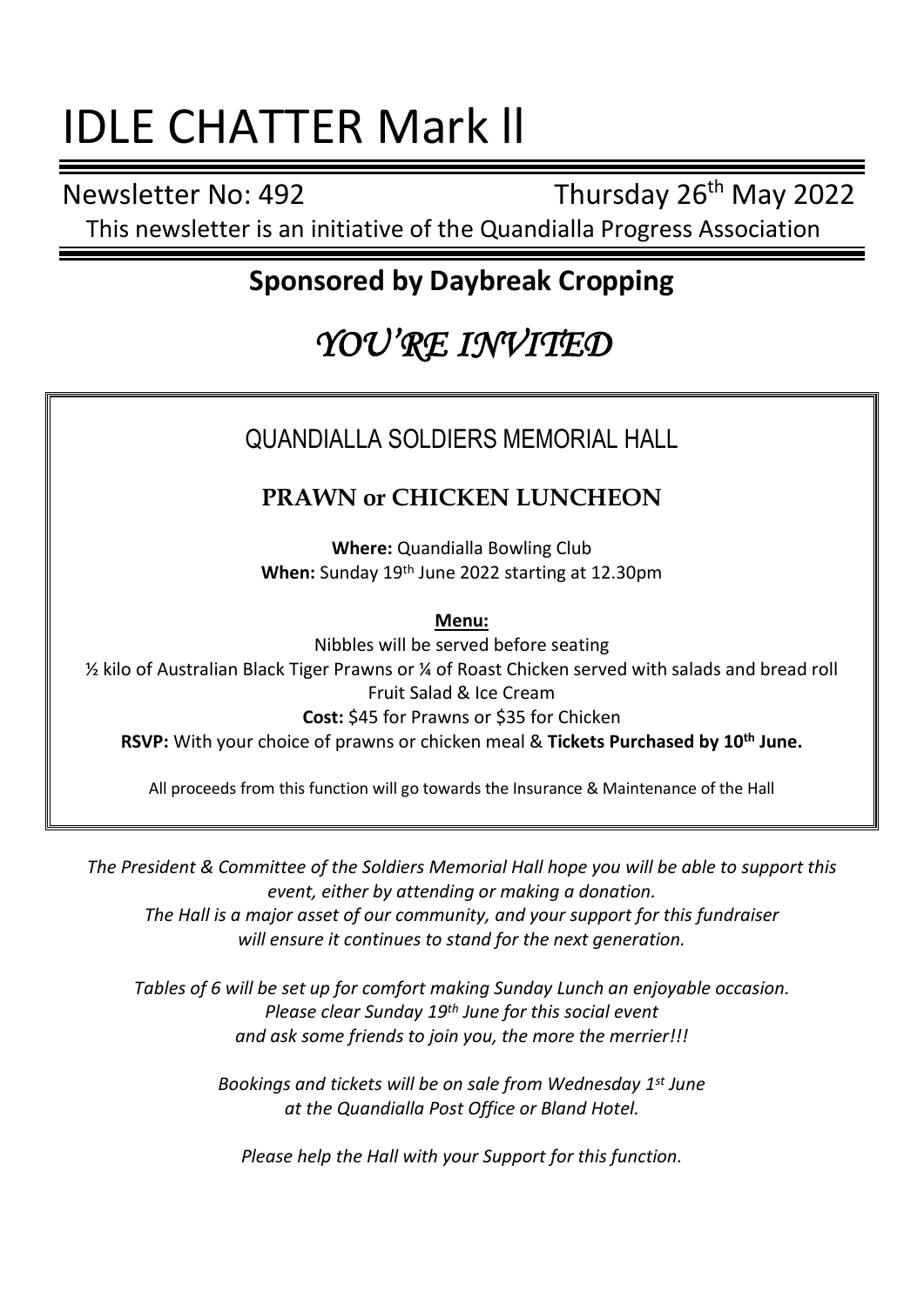## IDLE CHATTER Mark ll

Newsletter No: 492 Thursday 26<sup>th</sup> May 2022

This newsletter is an initiative of the Quandialla Progress Association

### **Sponsored by Daybreak Cropping**

## *YOU'RE INVITED*

#### QUANDIALLA SOLDIERS MEMORIAL HALL

#### **PRAWN or CHICKEN LUNCHEON**

**Where:** Quandialla Bowling Club **When:** Sunday 19th June 2022 starting at 12.30pm

**Menu:**

Nibbles will be served before seating ½ kilo of Australian Black Tiger Prawns or ¼ of Roast Chicken served with salads and bread roll Fruit Salad & Ice Cream **Cost:** \$45 for Prawns or \$35 for Chicken **RSVP:** With your choice of prawns or chicken meal & **Tickets Purchased by 10th June.**

All proceeds from this function will go towards the Insurance & Maintenance of the Hall

*The President & Committee of the Soldiers Memorial Hall hope you will be able to support this event, either by attending or making a donation. The Hall is a major asset of our community, and your support for this fundraiser will ensure it continues to stand for the next generation.*

*Tables of 6 will be set up for comfort making Sunday Lunch an enjoyable occasion. Please clear Sunday 19th June for this social event and ask some friends to join you, the more the merrier!!!*

> *Bookings and tickets will be on sale from Wednesday 1st June at the Quandialla Post Office or Bland Hotel.*

*Please help the Hall with your Support for this function.*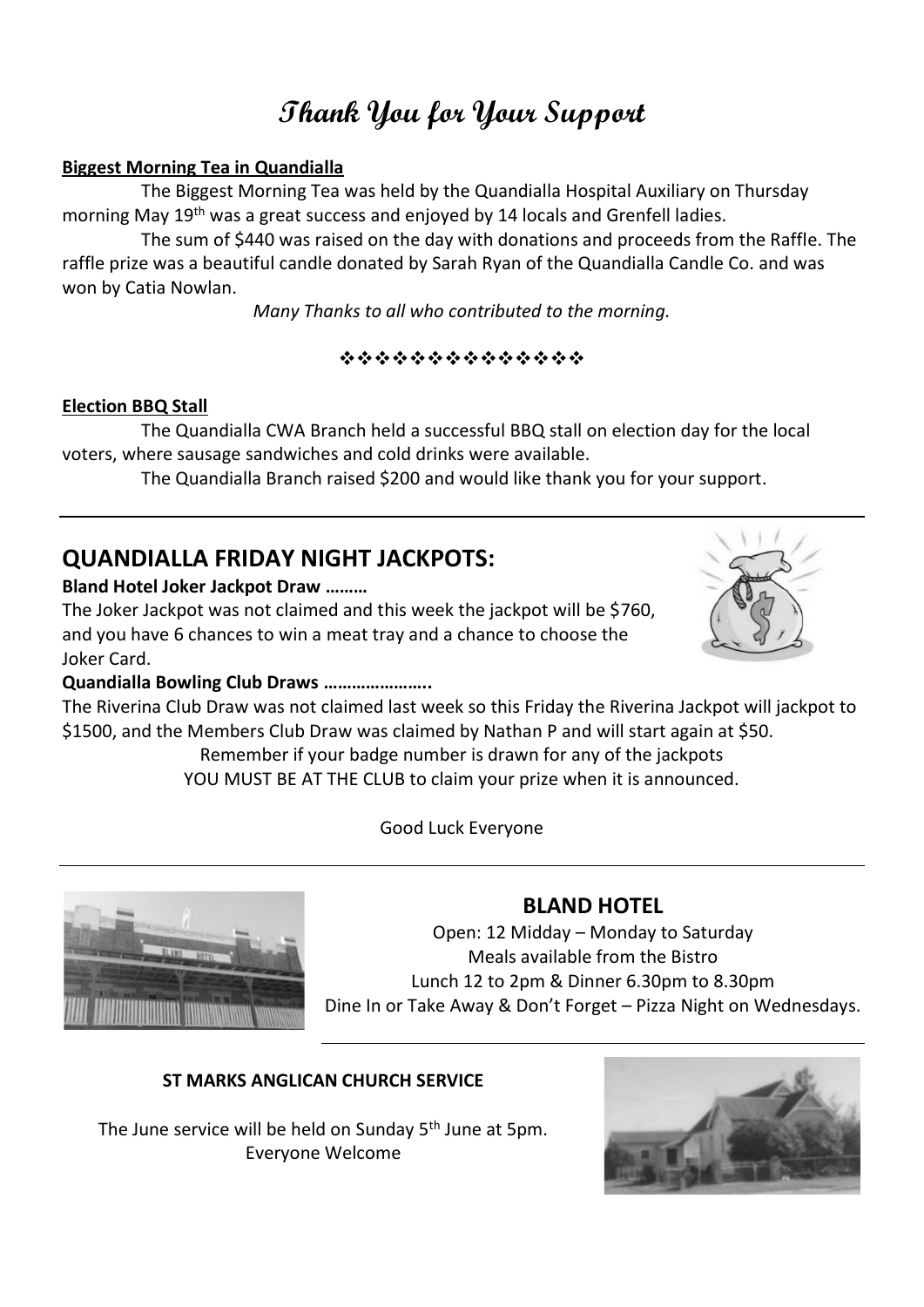## **Thank You for Your Support**

#### **Biggest Morning Tea in Quandialla**

The Biggest Morning Tea was held by the Quandialla Hospital Auxiliary on Thursday morning May 19th was a great success and enjoyed by 14 locals and Grenfell ladies.

The sum of \$440 was raised on the day with donations and proceeds from the Raffle. The raffle prize was a beautiful candle donated by Sarah Ryan of the Quandialla Candle Co. and was won by Catia Nowlan.

*Many Thanks to all who contributed to the morning.*

❖❖❖❖❖❖❖❖❖❖❖❖❖❖

#### **Election BBQ Stall**

The Quandialla CWA Branch held a successful BBQ stall on election day for the local voters, where sausage sandwiches and cold drinks were available.

The Quandialla Branch raised \$200 and would like thank you for your support.

#### **QUANDIALLA FRIDAY NIGHT JACKPOTS:**

#### **Bland Hotel Joker Jackpot Draw ………**

The Joker Jackpot was not claimed and this week the jackpot will be \$760, and you have 6 chances to win a meat tray and a chance to choose the Joker Card.

#### **Quandialla Bowling Club Draws …………………..**

The Riverina Club Draw was not claimed last week so this Friday the Riverina Jackpot will jackpot to \$1500, and the Members Club Draw was claimed by Nathan P and will start again at \$50.

Remember if your badge number is drawn for any of the jackpots YOU MUST BE AT THE CLUB to claim your prize when it is announced.

Good Luck Everyone



#### **BLAND HOTEL**

Open: 12 Midday – Monday to Saturday Meals available from the Bistro Lunch 12 to 2pm & Dinner 6.30pm to 8.30pm Dine In or Take Away & Don't Forget – Pizza Night on Wednesdays.

#### **ST MARKS ANGLICAN CHURCH SERVICE**

The June service will be held on Sunday 5<sup>th</sup> June at 5pm. Everyone Welcome



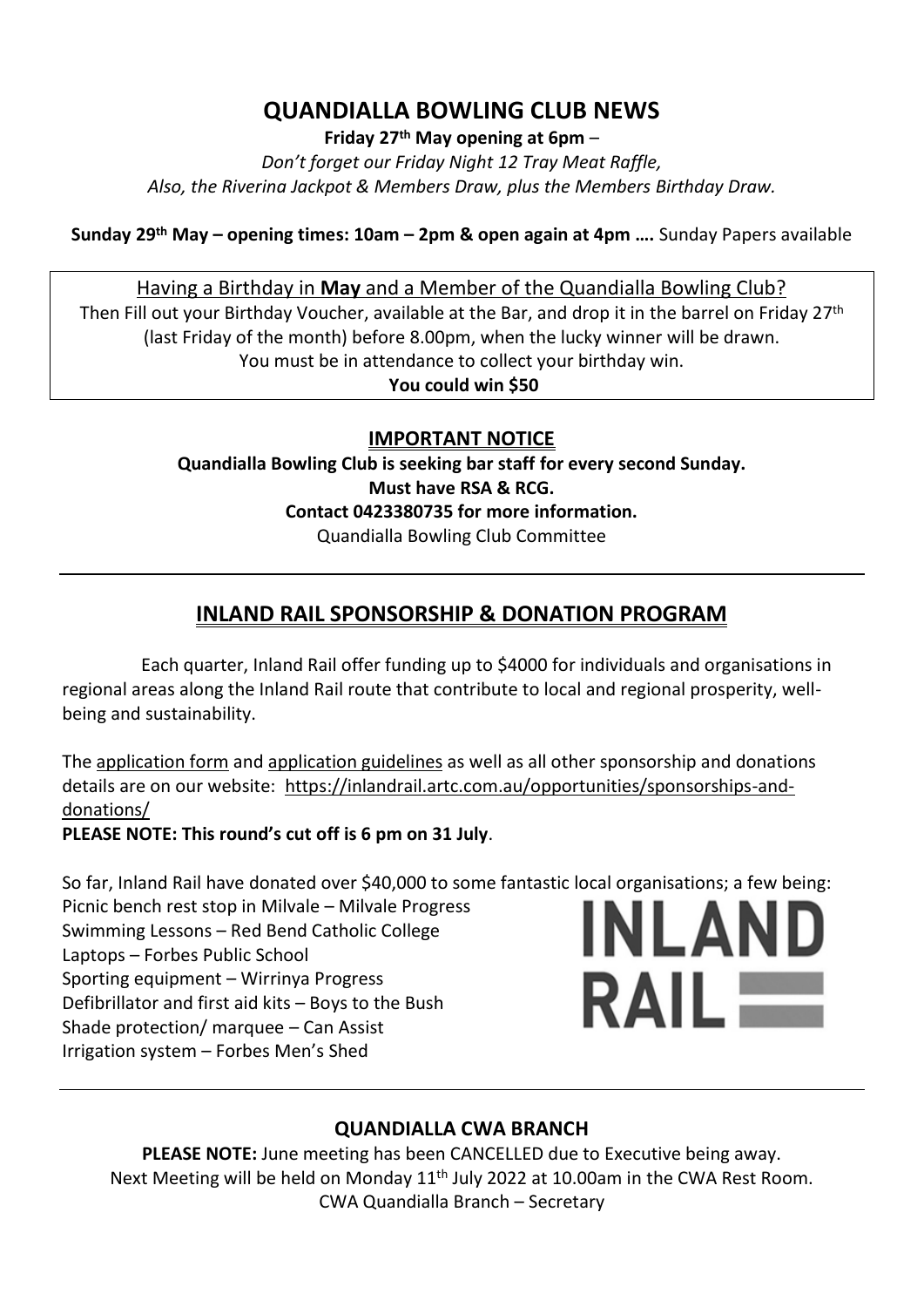#### **QUANDIALLA BOWLING CLUB NEWS**

**Friday 27th May opening at 6pm** –

*Don't forget our Friday Night 12 Tray Meat Raffle, Also, the Riverina Jackpot & Members Draw, plus the Members Birthday Draw.*

**Sunday 29 th May – opening times: 10am – 2pm & open again at 4pm ….** Sunday Papers available

#### Having a Birthday in **May** and a Member of the Quandialla Bowling Club?

Then Fill out your Birthday Voucher, available at the Bar, and drop it in the barrel on Friday 27<sup>th</sup> (last Friday of the month) before 8.00pm, when the lucky winner will be drawn. You must be in attendance to collect your birthday win.

**You could win \$50**

#### **IMPORTANT NOTICE**

**Quandialla Bowling Club is seeking bar staff for every second Sunday. Must have RSA & RCG. Contact 0423380735 for more information.** Quandialla Bowling Club Committee

#### **INLAND RAIL SPONSORSHIP & DONATION PROGRAM**

Each quarter, Inland Rail offer funding up to \$4000 for individuals and organisations in regional areas along the Inland Rail route that contribute to local and regional prosperity, wellbeing and sustainability.

The [application form](https://inlandrail.artc.com.au/community-sponsorships-and-donations-application-form/) and [application guidelines](https://inlandrail.artc.com.au/community-sponsorships-and-donations-guidelines/) as well as all other sponsorship and donations details are on our website: [https://inlandrail.artc.com.au/opportunities/sponsorships-and](https://inlandrail.artc.com.au/opportunities/sponsorships-and-donations/)[donations/](https://inlandrail.artc.com.au/opportunities/sponsorships-and-donations/)

**PLEASE NOTE: This round's cut off is 6 pm on 31 July**.

So far, Inland Rail have donated over \$40,000 to some fantastic local organisations; a few being:

Picnic bench rest stop in Milvale – Milvale Progress Swimming Lessons – Red Bend Catholic College Laptops – Forbes Public School Sporting equipment – Wirrinya Progress Defibrillator and first aid kits – Boys to the Bush Shade protection/ marquee – Can Assist Irrigation system – Forbes Men's Shed

# INLAND **RAIL**

#### **QUANDIALLA CWA BRANCH**

**PLEASE NOTE:** June meeting has been CANCELLED due to Executive being away. Next Meeting will be held on Monday  $11<sup>th</sup>$  July 2022 at 10.00am in the CWA Rest Room. CWA Quandialla Branch – Secretary